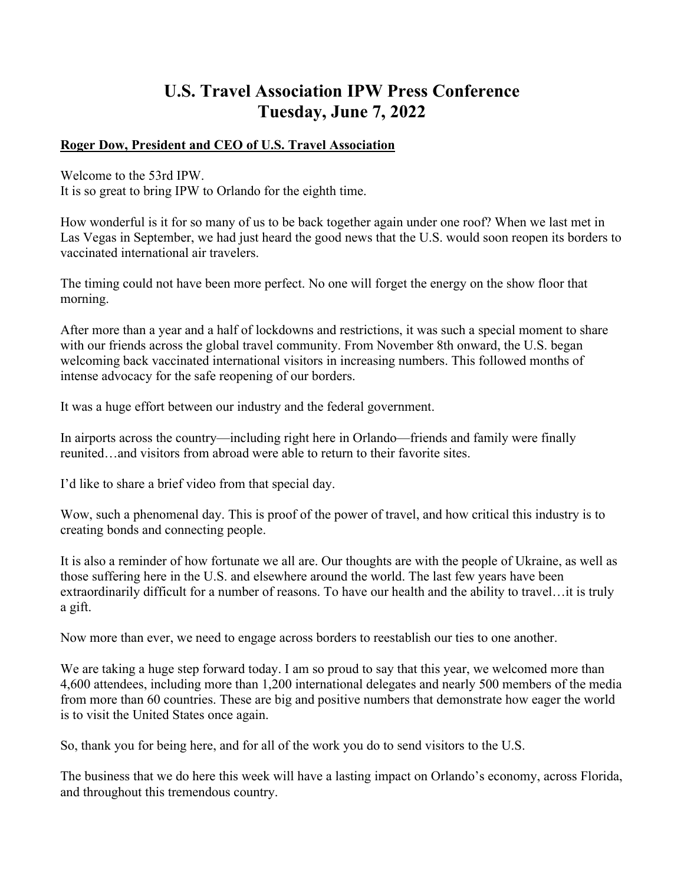# **U.S. Travel Association IPW Press Conference Tuesday, June 7, 2022**

### **Roger Dow, President and CEO of U.S. Travel Association**

Welcome to the 53rd IPW.

It is so great to bring IPW to Orlando for the eighth time.

How wonderful is it for so many of us to be back together again under one roof? When we last met in Las Vegas in September, we had just heard the good news that the U.S. would soon reopen its borders to vaccinated international air travelers.

The timing could not have been more perfect. No one will forget the energy on the show floor that morning.

After more than a year and a half of lockdowns and restrictions, it was such a special moment to share with our friends across the global travel community. From November 8th onward, the U.S. began welcoming back vaccinated international visitors in increasing numbers. This followed months of intense advocacy for the safe reopening of our borders.

It was a huge effort between our industry and the federal government.

In airports across the country—including right here in Orlando—friends and family were finally reunited…and visitors from abroad were able to return to their favorite sites.

I'd like to share a brief video from that special day.

Wow, such a phenomenal day. This is proof of the power of travel, and how critical this industry is to creating bonds and connecting people.

It is also a reminder of how fortunate we all are. Our thoughts are with the people of Ukraine, as well as those suffering here in the U.S. and elsewhere around the world. The last few years have been extraordinarily difficult for a number of reasons. To have our health and the ability to travel…it is truly a gift.

Now more than ever, we need to engage across borders to reestablish our ties to one another.

We are taking a huge step forward today. I am so proud to say that this year, we welcomed more than 4,600 attendees, including more than 1,200 international delegates and nearly 500 members of the media from more than 60 countries. These are big and positive numbers that demonstrate how eager the world is to visit the United States once again.

So, thank you for being here, and for all of the work you do to send visitors to the U.S.

The business that we do here this week will have a lasting impact on Orlando's economy, across Florida, and throughout this tremendous country.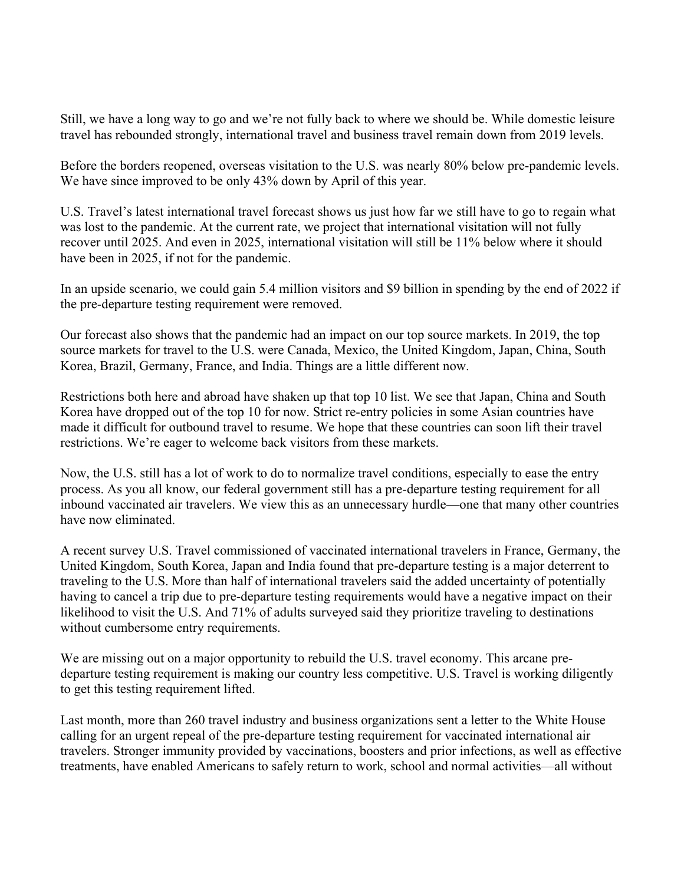Still, we have a long way to go and we're not fully back to where we should be. While domestic leisure travel has rebounded strongly, international travel and business travel remain down from 2019 levels.

Before the borders reopened, overseas visitation to the U.S. was nearly 80% below pre-pandemic levels. We have since improved to be only 43% down by April of this year.

U.S. Travel's latest international travel forecast shows us just how far we still have to go to regain what was lost to the pandemic. At the current rate, we project that international visitation will not fully recover until 2025. And even in 2025, international visitation will still be 11% below where it should have been in 2025, if not for the pandemic.

In an upside scenario, we could gain 5.4 million visitors and \$9 billion in spending by the end of 2022 if the pre-departure testing requirement were removed.

Our forecast also shows that the pandemic had an impact on our top source markets. In 2019, the top source markets for travel to the U.S. were Canada, Mexico, the United Kingdom, Japan, China, South Korea, Brazil, Germany, France, and India. Things are a little different now.

Restrictions both here and abroad have shaken up that top 10 list. We see that Japan, China and South Korea have dropped out of the top 10 for now. Strict re-entry policies in some Asian countries have made it difficult for outbound travel to resume. We hope that these countries can soon lift their travel restrictions. We're eager to welcome back visitors from these markets.

Now, the U.S. still has a lot of work to do to normalize travel conditions, especially to ease the entry process. As you all know, our federal government still has a pre-departure testing requirement for all inbound vaccinated air travelers. We view this as an unnecessary hurdle—one that many other countries have now eliminated.

A recent survey U.S. Travel commissioned of vaccinated international travelers in France, Germany, the United Kingdom, South Korea, Japan and India found that pre-departure testing is a major deterrent to traveling to the U.S. More than half of international travelers said the added uncertainty of potentially having to cancel a trip due to pre-departure testing requirements would have a negative impact on their likelihood to visit the U.S. And 71% of adults surveyed said they prioritize traveling to destinations without cumbersome entry requirements.

We are missing out on a major opportunity to rebuild the U.S. travel economy. This arcane predeparture testing requirement is making our country less competitive. U.S. Travel is working diligently to get this testing requirement lifted.

Last month, more than 260 travel industry and business organizations sent a letter to the White House calling for an urgent repeal of the pre-departure testing requirement for vaccinated international air travelers. Stronger immunity provided by vaccinations, boosters and prior infections, as well as effective treatments, have enabled Americans to safely return to work, school and normal activities—all without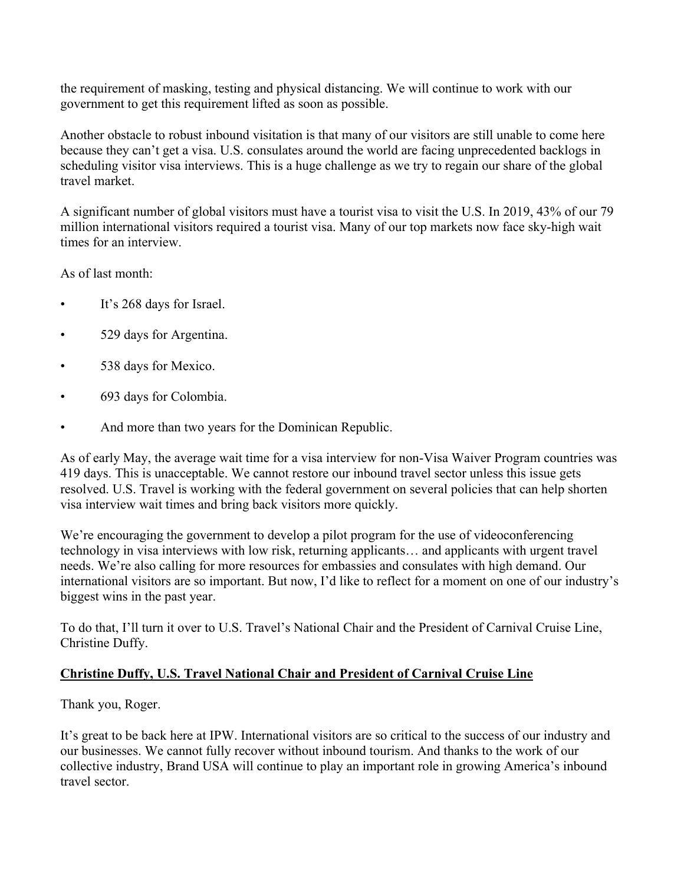the requirement of masking, testing and physical distancing. We will continue to work with our government to get this requirement lifted as soon as possible.

Another obstacle to robust inbound visitation is that many of our visitors are still unable to come here because they can't get a visa. U.S. consulates around the world are facing unprecedented backlogs in scheduling visitor visa interviews. This is a huge challenge as we try to regain our share of the global travel market.

A significant number of global visitors must have a tourist visa to visit the U.S. In 2019, 43% of our 79 million international visitors required a tourist visa. Many of our top markets now face sky-high wait times for an interview.

As of last month:

- It's 268 days for Israel.
- 529 days for Argentina.
- 538 days for Mexico.
- 693 days for Colombia.
- And more than two years for the Dominican Republic.

As of early May, the average wait time for a visa interview for non-Visa Waiver Program countries was 419 days. This is unacceptable. We cannot restore our inbound travel sector unless this issue gets resolved. U.S. Travel is working with the federal government on several policies that can help shorten visa interview wait times and bring back visitors more quickly.

We're encouraging the government to develop a pilot program for the use of videoconferencing technology in visa interviews with low risk, returning applicants… and applicants with urgent travel needs. We're also calling for more resources for embassies and consulates with high demand. Our international visitors are so important. But now, I'd like to reflect for a moment on one of our industry's biggest wins in the past year.

To do that, I'll turn it over to U.S. Travel's National Chair and the President of Carnival Cruise Line, Christine Duffy.

### **Christine Duffy, U.S. Travel National Chair and President of Carnival Cruise Line**

Thank you, Roger.

It's great to be back here at IPW. International visitors are so critical to the success of our industry and our businesses. We cannot fully recover without inbound tourism. And thanks to the work of our collective industry, Brand USA will continue to play an important role in growing America's inbound travel sector.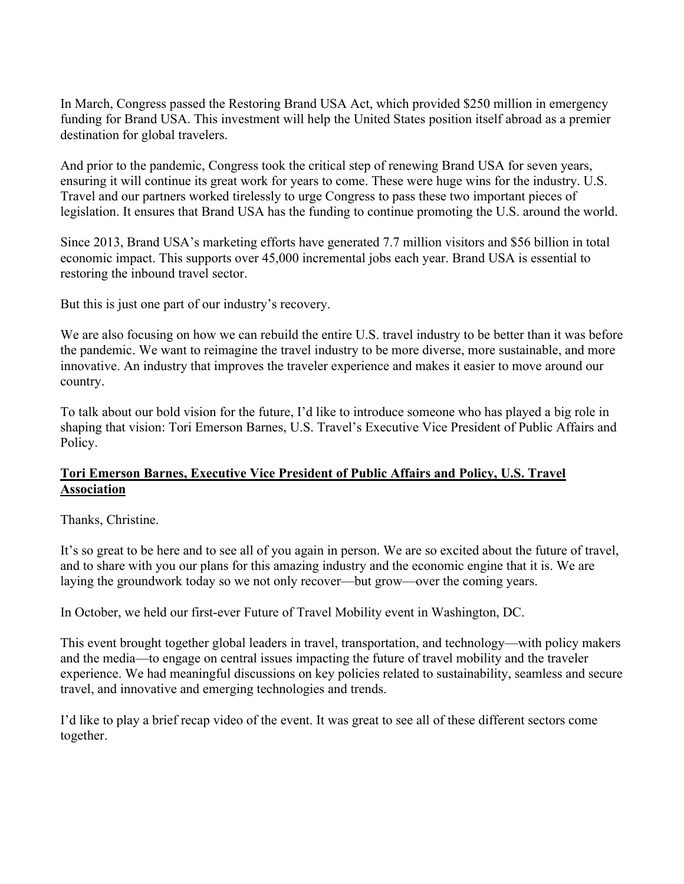In March, Congress passed the Restoring Brand USA Act, which provided \$250 million in emergency funding for Brand USA. This investment will help the United States position itself abroad as a premier destination for global travelers.

And prior to the pandemic, Congress took the critical step of renewing Brand USA for seven years, ensuring it will continue its great work for years to come. These were huge wins for the industry. U.S. Travel and our partners worked tirelessly to urge Congress to pass these two important pieces of legislation. It ensures that Brand USA has the funding to continue promoting the U.S. around the world.

Since 2013, Brand USA's marketing efforts have generated 7.7 million visitors and \$56 billion in total economic impact. This supports over 45,000 incremental jobs each year. Brand USA is essential to restoring the inbound travel sector.

But this is just one part of our industry's recovery.

We are also focusing on how we can rebuild the entire U.S. travel industry to be better than it was before the pandemic. We want to reimagine the travel industry to be more diverse, more sustainable, and more innovative. An industry that improves the traveler experience and makes it easier to move around our country.

To talk about our bold vision for the future, I'd like to introduce someone who has played a big role in shaping that vision: Tori Emerson Barnes, U.S. Travel's Executive Vice President of Public Affairs and Policy.

## **Tori Emerson Barnes, Executive Vice President of Public Affairs and Policy, U.S. Travel Association**

Thanks, Christine.

It's so great to be here and to see all of you again in person. We are so excited about the future of travel, and to share with you our plans for this amazing industry and the economic engine that it is. We are laying the groundwork today so we not only recover—but grow—over the coming years.

In October, we held our first-ever Future of Travel Mobility event in Washington, DC.

This event brought together global leaders in travel, transportation, and technology—with policy makers and the media—to engage on central issues impacting the future of travel mobility and the traveler experience. We had meaningful discussions on key policies related to sustainability, seamless and secure travel, and innovative and emerging technologies and trends.

I'd like to play a brief recap video of the event. It was great to see all of these different sectors come together.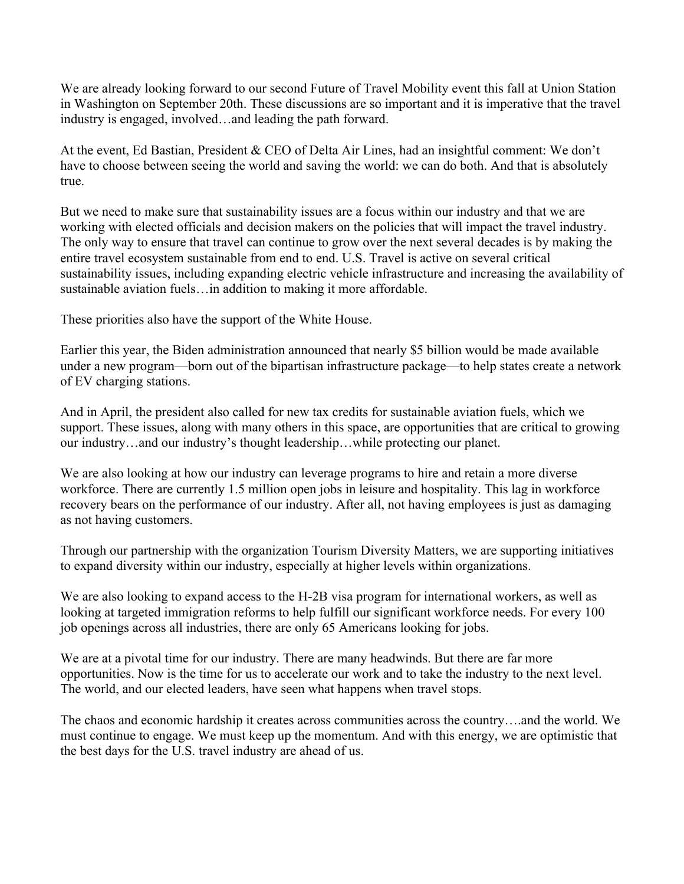We are already looking forward to our second Future of Travel Mobility event this fall at Union Station in Washington on September 20th. These discussions are so important and it is imperative that the travel industry is engaged, involved…and leading the path forward.

At the event, Ed Bastian, President & CEO of Delta Air Lines, had an insightful comment: We don't have to choose between seeing the world and saving the world: we can do both. And that is absolutely true.

But we need to make sure that sustainability issues are a focus within our industry and that we are working with elected officials and decision makers on the policies that will impact the travel industry. The only way to ensure that travel can continue to grow over the next several decades is by making the entire travel ecosystem sustainable from end to end. U.S. Travel is active on several critical sustainability issues, including expanding electric vehicle infrastructure and increasing the availability of sustainable aviation fuels…in addition to making it more affordable.

These priorities also have the support of the White House.

Earlier this year, the Biden administration announced that nearly \$5 billion would be made available under a new program—born out of the bipartisan infrastructure package—to help states create a network of EV charging stations.

And in April, the president also called for new tax credits for sustainable aviation fuels, which we support. These issues, along with many others in this space, are opportunities that are critical to growing our industry…and our industry's thought leadership…while protecting our planet.

We are also looking at how our industry can leverage programs to hire and retain a more diverse workforce. There are currently 1.5 million open jobs in leisure and hospitality. This lag in workforce recovery bears on the performance of our industry. After all, not having employees is just as damaging as not having customers.

Through our partnership with the organization Tourism Diversity Matters, we are supporting initiatives to expand diversity within our industry, especially at higher levels within organizations.

We are also looking to expand access to the H-2B visa program for international workers, as well as looking at targeted immigration reforms to help fulfill our significant workforce needs. For every 100 job openings across all industries, there are only 65 Americans looking for jobs.

We are at a pivotal time for our industry. There are many headwinds. But there are far more opportunities. Now is the time for us to accelerate our work and to take the industry to the next level. The world, and our elected leaders, have seen what happens when travel stops.

The chaos and economic hardship it creates across communities across the country….and the world. We must continue to engage. We must keep up the momentum. And with this energy, we are optimistic that the best days for the U.S. travel industry are ahead of us.